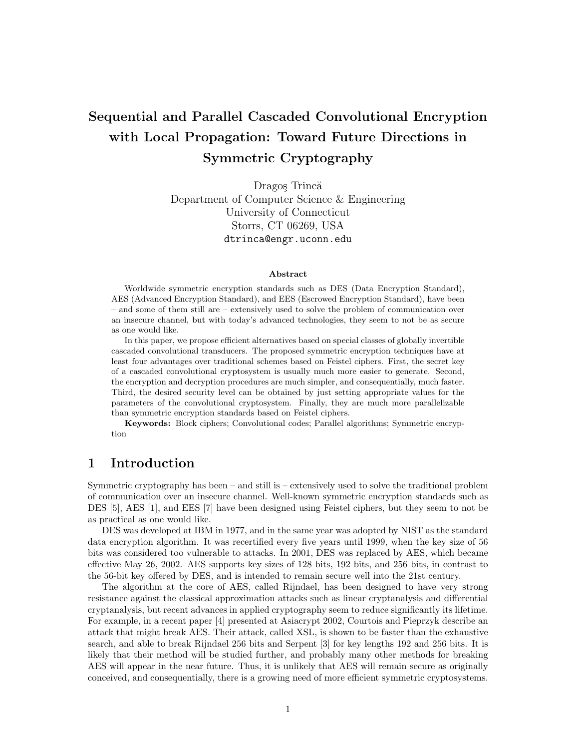# Sequential and Parallel Cascaded Convolutional Encryption with Local Propagation: Toward Future Directions in Symmetric Cryptography

Dragos Trincă Department of Computer Science & Engineering University of Connecticut Storrs, CT 06269, USA dtrinca@engr.uconn.edu

#### Abstract

Worldwide symmetric encryption standards such as DES (Data Encryption Standard), AES (Advanced Encryption Standard), and EES (Escrowed Encryption Standard), have been – and some of them still are – extensively used to solve the problem of communication over an insecure channel, but with today's advanced technologies, they seem to not be as secure as one would like.

In this paper, we propose efficient alternatives based on special classes of globally invertible cascaded convolutional transducers. The proposed symmetric encryption techniques have at least four advantages over traditional schemes based on Feistel ciphers. First, the secret key of a cascaded convolutional cryptosystem is usually much more easier to generate. Second, the encryption and decryption procedures are much simpler, and consequentially, much faster. Third, the desired security level can be obtained by just setting appropriate values for the parameters of the convolutional cryptosystem. Finally, they are much more parallelizable than symmetric encryption standards based on Feistel ciphers.

Keywords: Block ciphers; Convolutional codes; Parallel algorithms; Symmetric encryption

### 1 Introduction

Symmetric cryptography has been – and still is – extensively used to solve the traditional problem of communication over an insecure channel. Well-known symmetric encryption standards such as DES [5], AES [1], and EES [7] have been designed using Feistel ciphers, but they seem to not be as practical as one would like.

DES was developed at IBM in 1977, and in the same year was adopted by NIST as the standard data encryption algorithm. It was recertified every five years until 1999, when the key size of 56 bits was considered too vulnerable to attacks. In 2001, DES was replaced by AES, which became effective May 26, 2002. AES supports key sizes of 128 bits, 192 bits, and 256 bits, in contrast to the 56-bit key offered by DES, and is intended to remain secure well into the 21st century.

The algorithm at the core of AES, called Rijndael, has been designed to have very strong resistance against the classical approximation attacks such as linear cryptanalysis and differential cryptanalysis, but recent advances in applied cryptography seem to reduce significantly its lifetime. For example, in a recent paper [4] presented at Asiacrypt 2002, Courtois and Pieprzyk describe an attack that might break AES. Their attack, called XSL, is shown to be faster than the exhaustive search, and able to break Rijndael 256 bits and Serpent [3] for key lengths 192 and 256 bits. It is likely that their method will be studied further, and probably many other methods for breaking AES will appear in the near future. Thus, it is unlikely that AES will remain secure as originally conceived, and consequentially, there is a growing need of more efficient symmetric cryptosystems.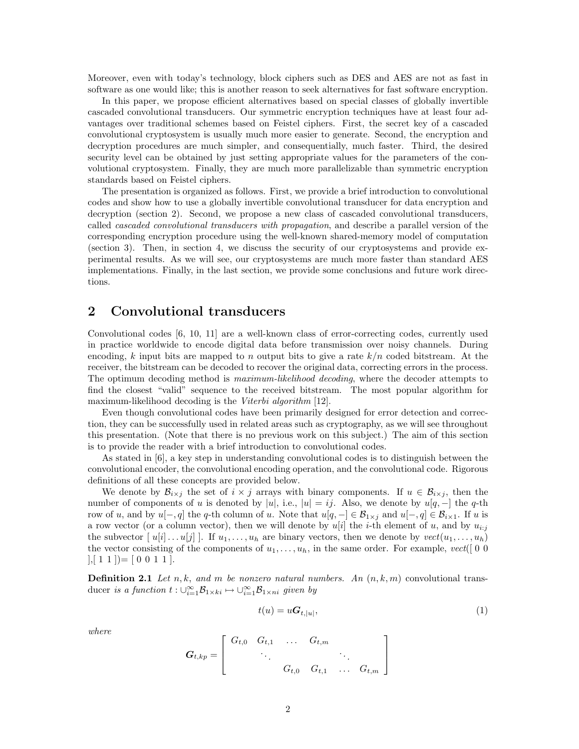Moreover, even with today's technology, block ciphers such as DES and AES are not as fast in software as one would like; this is another reason to seek alternatives for fast software encryption.

In this paper, we propose efficient alternatives based on special classes of globally invertible cascaded convolutional transducers. Our symmetric encryption techniques have at least four advantages over traditional schemes based on Feistel ciphers. First, the secret key of a cascaded convolutional cryptosystem is usually much more easier to generate. Second, the encryption and decryption procedures are much simpler, and consequentially, much faster. Third, the desired security level can be obtained by just setting appropriate values for the parameters of the convolutional cryptosystem. Finally, they are much more parallelizable than symmetric encryption standards based on Feistel ciphers.

The presentation is organized as follows. First, we provide a brief introduction to convolutional codes and show how to use a globally invertible convolutional transducer for data encryption and decryption (section 2). Second, we propose a new class of cascaded convolutional transducers, called cascaded convolutional transducers with propagation, and describe a parallel version of the corresponding encryption procedure using the well-known shared-memory model of computation (section 3). Then, in section 4, we discuss the security of our cryptosystems and provide experimental results. As we will see, our cryptosystems are much more faster than standard AES implementations. Finally, in the last section, we provide some conclusions and future work directions.

### 2 Convolutional transducers

Convolutional codes [6, 10, 11] are a well-known class of error-correcting codes, currently used in practice worldwide to encode digital data before transmission over noisy channels. During encoding, k input bits are mapped to n output bits to give a rate  $k/n$  coded bitstream. At the receiver, the bitstream can be decoded to recover the original data, correcting errors in the process. The optimum decoding method is maximum-likelihood decoding, where the decoder attempts to find the closest "valid" sequence to the received bitstream. The most popular algorithm for maximum-likelihood decoding is the Viterbi algorithm [12].

Even though convolutional codes have been primarily designed for error detection and correction, they can be successfully used in related areas such as cryptography, as we will see throughout this presentation. (Note that there is no previous work on this subject.) The aim of this section is to provide the reader with a brief introduction to convolutional codes.

As stated in [6], a key step in understanding convolutional codes is to distinguish between the convolutional encoder, the convolutional encoding operation, and the convolutional code. Rigorous definitions of all these concepts are provided below.

We denote by  $\mathcal{B}_{i\times j}$  the set of  $i\times j$  arrays with binary components. If  $u\in\mathcal{B}_{i\times j}$ , then the number of components of u is denoted by  $|u|$ , i.e.,  $|u| = ij$ . Also, we denote by  $u[q, -]$  the q-th row of u, and by u[-, q] the q-th column of u. Note that  $u[q, -] \in \mathcal{B}_{1 \times j}$  and  $u[-, q] \in \mathcal{B}_{i \times 1}$ . If u is a row vector (or a column vector), then we will denote by  $u[i]$  the *i*-th element of u, and by  $u_{i:j}$ the subvector  $[u[i] \dots u[j]]$ . If  $u_1, \dots, u_h$  are binary vectors, then we denote by  $vect(u_1, \dots, u_h)$ the vector consisting of the components of  $u_1, \ldots, u_h$ , in the same order. For example, vect([0 0  $|,[1\ 1\ ]\big)=[\ 0\ 0\ 1\ 1\ ].$ 

**Definition 2.1** Let n, k, and m be nonzero natural numbers. An  $(n, k, m)$  convolutional transducer is a function  $t: \bigcup_{i=1}^{\infty} \mathcal{B}_{1 \times ki} \mapsto \bigcup_{i=1}^{\infty} \mathcal{B}_{1 \times ni}$  given by

$$
t(u) = u\mathbf{G}_{t,|u|},\tag{1}
$$

where

$$
\boldsymbol{G}_{t,kp} = \left[ \begin{array}{cccc} G_{t,0} & G_{t,1} & \ldots & G_{t,m} & \\ & \ddots & & \ddots & \\ & & G_{t,0} & G_{t,1} & \ldots & G_{t,m} \end{array} \right]
$$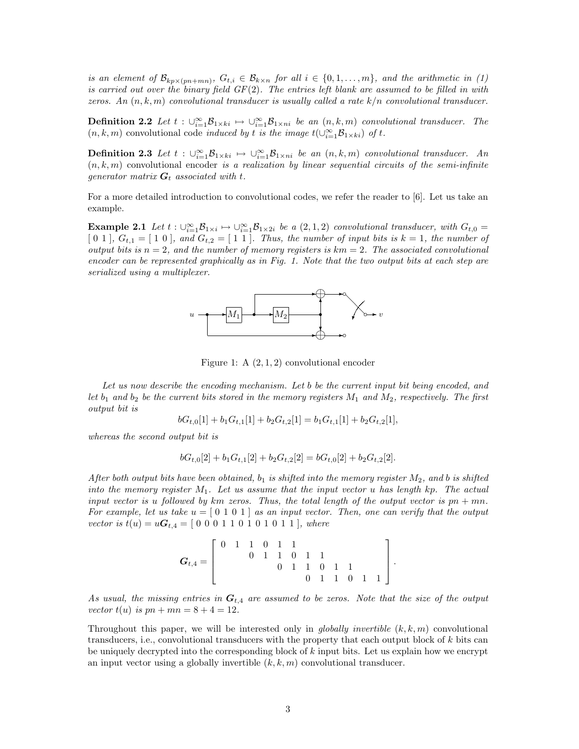is an element of  $\mathcal{B}_{kp\times(pn+mn)}$ ,  $G_{t,i} \in \mathcal{B}_{k\times n}$  for all  $i \in \{0,1,\ldots,m\}$ , and the arithmetic in (1) is carried out over the binary field  $GF(2)$ . The entries left blank are assumed to be filled in with zeros. An  $(n, k, m)$  convolutional transducer is usually called a rate  $k/n$  convolutional transducer.

**Definition 2.2** Let  $t : \bigcup_{i=1}^{\infty} B_{1 \times ki} \mapsto \bigcup_{i=1}^{\infty} B_{1 \times ni}$  be an  $(n, k, m)$  convolutional transducer. The  $(n, k, m)$  convolutional code *induced by t is the image*  $t(\cup_{i=1}^{\infty} \mathcal{B}_{1 \times ki})$  of t.

**Definition 2.3** Let  $t : \bigcup_{i=1}^{\infty} \mathcal{B}_{1 \times ki} \mapsto \bigcup_{i=1}^{\infty} \mathcal{B}_{1 \times ni}$  be an  $(n, k, m)$  convolutional transducer. An  $(n, k, m)$  convolutional encoder is a realization by linear sequential circuits of the semi-infinite generator matrix  $G_t$  associated with t.

For a more detailed introduction to convolutional codes, we refer the reader to [6]. Let us take an example.

**Example 2.1** Let  $t : \bigcup_{i=1}^{\infty} \mathcal{B}_{1 \times i} \mapsto \bigcup_{i=1}^{\infty} \mathcal{B}_{1 \times 2i}$  be a  $(2,1,2)$  convolutional transducer, with  $G_{t,0} =$  $[0\ 1], G_{t,1} = [1\ 0],$  and  $G_{t,2} = [1\ 1\ 1].$  Thus, the number of input bits is  $k = 1$ , the number of output bits is  $n = 2$ , and the number of memory registers is  $km = 2$ . The associated convolutional encoder can be represented graphically as in Fig. 1. Note that the two output bits at each step are serialized using a multiplexer.



Figure 1: A  $(2, 1, 2)$  convolutional encoder

Let us now describe the encoding mechanism. Let b be the current input bit being encoded, and let  $b_1$  and  $b_2$  be the current bits stored in the memory registers  $M_1$  and  $M_2$ , respectively. The first output bit is

$$
bG_{t,0}[1] + b_1 G_{t,1}[1] + b_2 G_{t,2}[1] = b_1 G_{t,1}[1] + b_2 G_{t,2}[1],
$$

whereas the second output bit is

$$
bG_{t,0}[2] + b_1 G_{t,1}[2] + b_2 G_{t,2}[2] = bG_{t,0}[2] + b_2 G_{t,2}[2].
$$

After both output bits have been obtained,  $b_1$  is shifted into the memory register  $M_2$ , and b is shifted into the memory register  $M_1$ . Let us assume that the input vector u has length kp. The actual input vector is u followed by km zeros. Thus, the total length of the output vector is  $pn + mn$ . For example, let us take  $u = \begin{bmatrix} 0 & 1 & 0 & 1 \end{bmatrix}$  as an input vector. Then, one can verify that the output vector is  $t(u) = uG_{t,4} = [0 \ 0 \ 0 \ 1 \ 1 \ 0 \ 1 \ 0 \ 1 \ 0 \ 1 \ 1],$  where

$$
\boldsymbol{G}_{t,4} = \left[\begin{array}{cccccccc} 0 & 1 & 1 & 0 & 1 & 1 \\ & & 0 & 1 & 1 & 0 & 1 & 1 \\ & & & 0 & 1 & 1 & 0 & 1 & 1 \\ & & & & 0 & 1 & 1 & 0 & 1 & 1 \\ & & & & & 0 & 1 & 1 & 0 & 1 & 1 \end{array}\right]
$$

.

As usual, the missing entries in  $G_{t,4}$  are assumed to be zeros. Note that the size of the output vector  $t(u)$  is  $pn + mn = 8 + 4 = 12$ .

Throughout this paper, we will be interested only in *globally invertible*  $(k, k, m)$  convolutional transducers, i.e., convolutional transducers with the property that each output block of k bits can be uniquely decrypted into the corresponding block of k input bits. Let us explain how we encrypt an input vector using a globally invertible  $(k, k, m)$  convolutional transducer.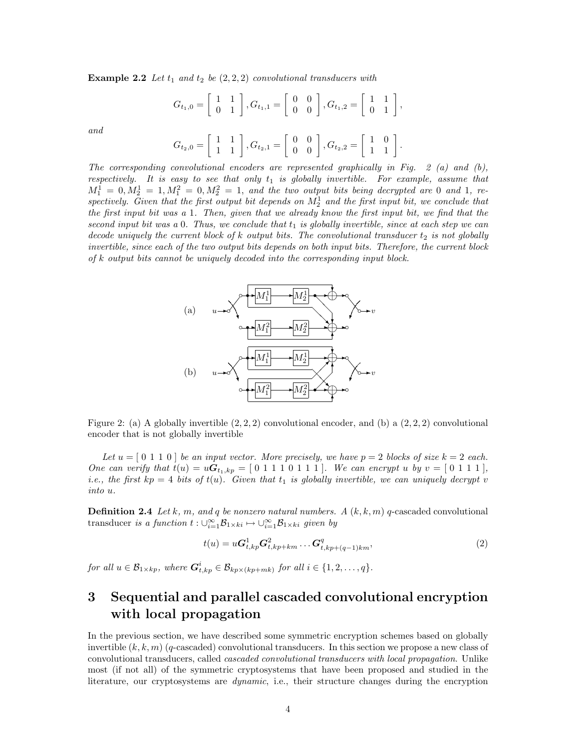**Example 2.2** Let  $t_1$  and  $t_2$  be  $(2, 2, 2)$  convolutional transducers with

$$
G_{t_1,0} = \left[ \begin{array}{cc} 1 & 1 \\ 0 & 1 \end{array} \right], G_{t_1,1} = \left[ \begin{array}{cc} 0 & 0 \\ 0 & 0 \end{array} \right], G_{t_1,2} = \left[ \begin{array}{cc} 1 & 1 \\ 0 & 1 \end{array} \right],
$$

and

$$
G_{t_2,0} = \left[ \begin{array}{cc} 1 & 1 \\ 1 & 1 \end{array} \right], G_{t_2,1} = \left[ \begin{array}{cc} 0 & 0 \\ 0 & 0 \end{array} \right], G_{t_2,2} = \left[ \begin{array}{cc} 1 & 0 \\ 1 & 1 \end{array} \right].
$$

The corresponding convolutional encoders are represented graphically in Fig. 2 (a) and (b), respectively. It is easy to see that only  $t_1$  is globally invertible. For example, assume that  $M_1^1 = 0, M_2^1 = 1, M_1^2 = 0, M_2^2 = 1$ , and the two output bits being decrypted are 0 and 1, respectively. Given that the first output bit depends on  $M_2^1$  and the first input bit, we conclude that the first input bit was a 1. Then, given that we already know the first input bit, we find that the second input bit was a 0. Thus, we conclude that  $t_1$  is globally invertible, since at each step we can decode uniquely the current block of k output bits. The convolutional transducer  $t_2$  is not globally invertible, since each of the two output bits depends on both input bits. Therefore, the current block of k output bits cannot be uniquely decoded into the corresponding input block.



Figure 2: (a) A globally invertible  $(2, 2, 2)$  convolutional encoder, and (b) a  $(2, 2, 2)$  convolutional encoder that is not globally invertible

Let  $u = [0 1 1 0]$  be an input vector. More precisely, we have  $p = 2$  blocks of size  $k = 2$  each. One can verify that  $t(u) = uG_{t_1,kp} = [0 1 1 1 0 1 1 1]$ . We can encrypt u by  $v = [0 1 1 1]$ , *i.e.*, the first  $kp = 4$  bits of  $t(u)$ . Given that  $t_1$  is globally invertible, we can uniquely decrypt v into u.

**Definition 2.4** Let k, m, and q be nonzero natural numbers. A  $(k, k, m)$  q-cascaded convolutional transducer is a function  $t: \bigcup_{i=1}^{\infty} \mathcal{B}_{1 \times ki} \mapsto \bigcup_{i=1}^{\infty} \mathcal{B}_{1 \times ki}$  given by

$$
t(u) = u\boldsymbol{G}_{t,kp}^1 \boldsymbol{G}_{t,kp+km}^2 \dots \boldsymbol{G}_{t,kp+(q-1)km}^q,
$$
\n
$$
(2)
$$

for all  $u \in \mathcal{B}_{1 \times kp}$ , where  $G_{t,kp}^i \in \mathcal{B}_{kp \times (kp+mk)}$  for all  $i \in \{1,2,\ldots,q\}$ .

## 3 Sequential and parallel cascaded convolutional encryption with local propagation

In the previous section, we have described some symmetric encryption schemes based on globally invertible  $(k, k, m)$  (q-cascaded) convolutional transducers. In this section we propose a new class of convolutional transducers, called cascaded convolutional transducers with local propagation. Unlike most (if not all) of the symmetric cryptosystems that have been proposed and studied in the literature, our cryptosystems are *dynamic*, i.e., their structure changes during the encryption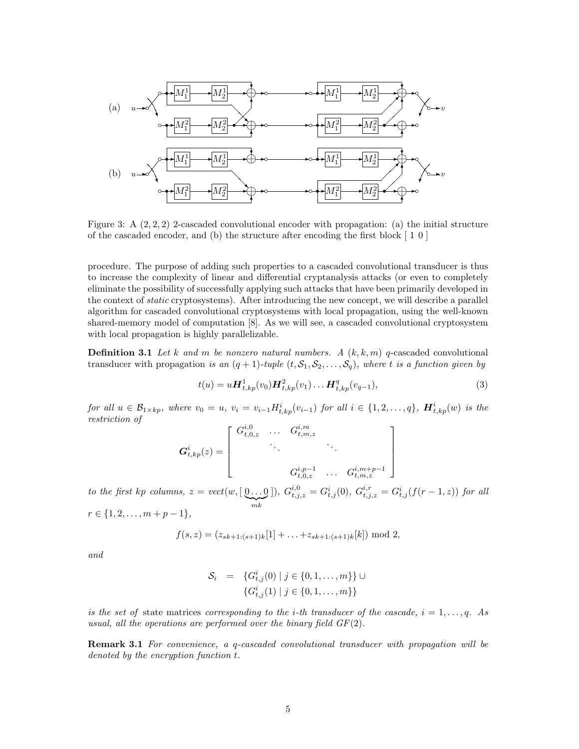

Figure 3: A  $(2, 2, 2)$  2-cascaded convolutional encoder with propagation: (a) the initial structure of the cascaded encoder, and (b) the structure after encoding the first block  $\lceil 1 \ 0 \rceil$ 

procedure. The purpose of adding such properties to a cascaded convolutional transducer is thus to increase the complexity of linear and differential cryptanalysis attacks (or even to completely eliminate the possibility of successfully applying such attacks that have been primarily developed in the context of static cryptosystems). After introducing the new concept, we will describe a parallel algorithm for cascaded convolutional cryptosystems with local propagation, using the well-known shared-memory model of computation [8]. As we will see, a cascaded convolutional cryptosystem with local propagation is highly parallelizable.

**Definition 3.1** Let k and m be nonzero natural numbers. A  $(k, k, m)$  q-cascaded convolutional transducer with propagation is an  $(q + 1)$ -tuple  $(t, S_1, S_2, \ldots, S_q)$ , where t is a function given by

$$
t(u) = u \mathbf{H}_{t,kp}^{1}(v_0) \mathbf{H}_{t,kp}^{2}(v_1) \dots \mathbf{H}_{t,kp}^{q}(v_{q-1}),
$$
\n(3)

for all  $u \in \mathcal{B}_{1 \times kp}$ , where  $v_0 = u$ ,  $v_i = v_{i-1} H_{t,kp}^i(v_{i-1})$  for all  $i \in \{1, 2, ..., q\}$ ,  $\mathbf{H}_{t,kp}^i(w)$  is the restriction of

$$
\boldsymbol{G}_{t,kp}^{i}(z) = \left[ \begin{array}{cccc} G_{t,0,z}^{i,0} & \ldots & G_{t,m,z}^{i,m} & & \\ & \ddots & & \ddots & \\ & & G_{t,0,z}^{i,p-1} & \ldots & G_{t,m,z}^{i,m+p-1} \end{array} \right]
$$

to the first kp columns,  $z = vect(w, [0...0])$  $\sum_{mk}$  $], G^{i,0}_{t,j,z} = G^i_{t,j}(0), G^{i,r}_{t,j,z} = G^i_{t,j}(f(r-1,z))$  for all  $r \in \{1, 2, \ldots, m+p-1\},\$ 

$$
f(s, z) = (z_{sk+1:(s+1)k}[1] + \ldots + z_{sk+1:(s+1)k}[k]) \mod 2,
$$

and

$$
\mathcal{S}_i = \{ G^i_{t,j}(0) \mid j \in \{0, 1, \dots, m\} \} \cup \{ G^i_{t,j}(1) \mid j \in \{0, 1, \dots, m\} \}
$$

is the set of state matrices corresponding to the *i*-th transducer of the cascade,  $i = 1, \ldots, q$ . As usual, all the operations are performed over the binary field  $GF(2)$ .

Remark 3.1 For convenience, a q-cascaded convolutional transducer with propagation will be denoted by the encryption function t.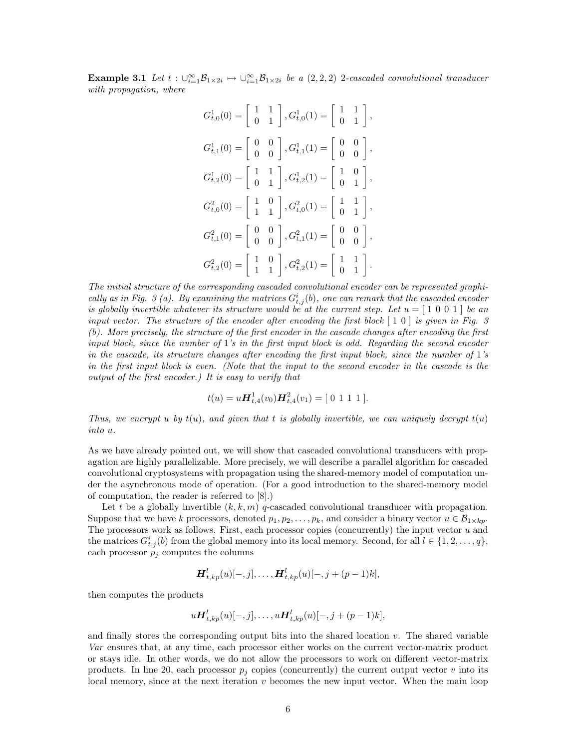Example 3.1 Let  $t : \bigcup_{i=1}^{\infty} B_{1 \times 2i} \mapsto \bigcup_{i=1}^{\infty} B_{1 \times 2i}$  be a  $(2, 2, 2)$  2-cascaded convolutional transducer with propagation, where

$$
G_{t,0}^1(0) = \begin{bmatrix} 1 & 1 \ 0 & 1 \end{bmatrix}, G_{t,0}^1(1) = \begin{bmatrix} 1 & 1 \ 0 & 1 \end{bmatrix},
$$
  
\n
$$
G_{t,1}^1(0) = \begin{bmatrix} 0 & 0 \ 0 & 0 \end{bmatrix}, G_{t,1}^1(1) = \begin{bmatrix} 0 & 0 \ 0 & 0 \end{bmatrix},
$$
  
\n
$$
G_{t,2}^1(0) = \begin{bmatrix} 1 & 1 \ 0 & 1 \end{bmatrix}, G_{t,2}^1(1) = \begin{bmatrix} 1 & 0 \ 0 & 1 \end{bmatrix},
$$
  
\n
$$
G_{t,0}^2(0) = \begin{bmatrix} 1 & 0 \ 1 & 1 \end{bmatrix}, G_{t,0}^2(1) = \begin{bmatrix} 1 & 1 \ 0 & 1 \end{bmatrix},
$$
  
\n
$$
G_{t,1}^2(0) = \begin{bmatrix} 0 & 0 \ 0 & 0 \end{bmatrix}, G_{t,1}^2(1) = \begin{bmatrix} 0 & 0 \ 0 & 0 \end{bmatrix},
$$
  
\n
$$
G_{t,2}^2(0) = \begin{bmatrix} 1 & 0 \ 1 & 1 \end{bmatrix}, G_{t,2}^2(1) = \begin{bmatrix} 1 & 1 \ 0 & 1 \end{bmatrix}.
$$

The initial structure of the corresponding cascaded convolutional encoder can be represented graphically as in Fig. 3 (a). By examining the matrices  $G_{t,j}^i(b)$ , one can remark that the cascaded encoder is globally invertible whatever its structure would be at the current step. Let  $u = [1 \ 0 \ 0 \ 1]$  be an input vector. The structure of the encoder after encoding the first block  $\lceil 1 \ 0 \rceil$  is given in Fig. 3 (b). More precisely, the structure of the first encoder in the cascade changes after encoding the first input block, since the number of 1's in the first input block is odd. Regarding the second encoder in the cascade, its structure changes after encoding the first input block, since the number of 1's in the first input block is even. (Note that the input to the second encoder in the cascade is the output of the first encoder.) It is easy to verify that

$$
t(u) = u \mathbf{H}_{t,4}^1(v_0) \mathbf{H}_{t,4}^2(v_1) = [0 \ 1 \ 1 \ 1].
$$

Thus, we encrypt u by  $t(u)$ , and given that t is globally invertible, we can uniquely decrypt  $t(u)$ into u.

As we have already pointed out, we will show that cascaded convolutional transducers with propagation are highly parallelizable. More precisely, we will describe a parallel algorithm for cascaded convolutional cryptosystems with propagation using the shared-memory model of computation under the asynchronous mode of operation. (For a good introduction to the shared-memory model of computation, the reader is referred to [8].)

Let t be a globally invertible  $(k, k, m)$  q-cascaded convolutional transducer with propagation. Suppose that we have k processors, denoted  $p_1, p_2, \ldots, p_k$ , and consider a binary vector  $u \in \mathcal{B}_{1 \times kp}$ . The processors work as follows. First, each processor copies (concurrently) the input vector  $u$  and the matrices  $G_{t,j}^i(b)$  from the global memory into its local memory. Second, for all  $l \in \{1, 2, ..., q\}$ , each processor  $p_i$  computes the columns

$$
\boldsymbol{H}^l_{t,kp}(u)[-,j],\ldots,\boldsymbol{H}^l_{t,kp}(u)[-,j+(p-1)k],
$$

then computes the products

$$
uH_{t,kp}^l(u)[-,j],\ldots, uH_{t,kp}^l(u)[-,j+(p-1)k],
$$

and finally stores the corresponding output bits into the shared location  $v$ . The shared variable Var ensures that, at any time, each processor either works on the current vector-matrix product or stays idle. In other words, we do not allow the processors to work on different vector-matrix products. In line 20, each processor  $p_i$  copies (concurrently) the current output vector v into its local memory, since at the next iteration v becomes the new input vector. When the main loop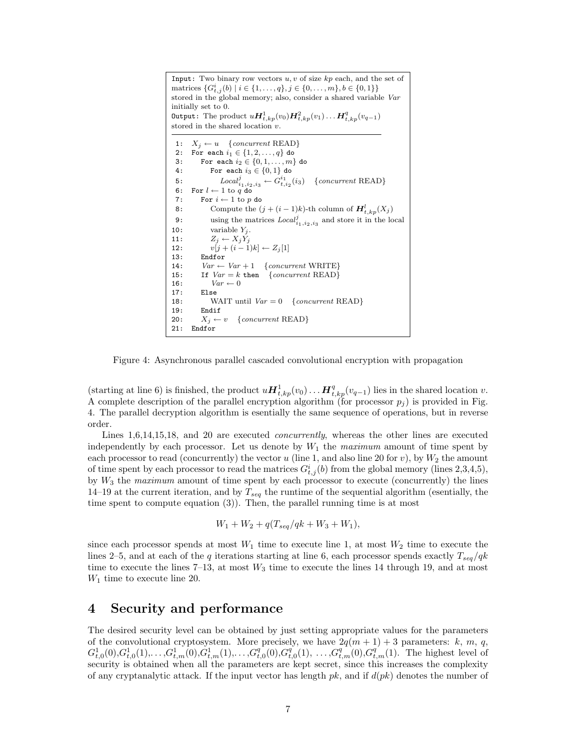Input: Two binary row vectors  $u, v$  of size  $kp$  each, and the set of matrices  $\{G_{t,j}^i(b) \mid i \in \{1, \ldots, q\}, j \in \{0, \ldots, m\}, b \in \{0, 1\}\}\$ stored in the global memory; also, consider a shared variable Var initially set to 0. Output: The product  $u\bm{H}_{t,kp}^1(v_0)\bm{H}_{t,kp}^2(v_1)\ldots\bm{H}_{t,kp}^q(v_{q-1})$ stored in the shared location v. 1:  $X_i \leftarrow u$  {concurrent READ} 2: For each  $i_1 \in \{1, 2, \ldots, q\}$  do 3: For each  $i_2 \in \{0, 1, ..., m\}$  do 4: For each  $i_3 \in \{0, 1\}$  do 5:  $Local_{i_1,i_2,i_3}^j \leftarrow G_{t,i_2}^{i_1}(i_3) \quad \{concurrent \text{READ}\}$ 6: For  $l \leftarrow 1$  to  $q$  do 7: For  $i \leftarrow 1$  to p do 8: Compute the  $(j + (i - 1)k)$ -th column of  $\mathbf{H}_{t, kp}^l(X_j)$ 9: using the matrices  $Local_{i_1,i_2,i_3}^j$  and store it in the local 10: variable  $Y_j$ .<br>11:  $Z_j \leftarrow X_j Y_j$ 11:  $Z_j \leftarrow X_j Y_j$ 12:  $v[j + (i-1)k] \leftarrow Z_j[1]$ 13: Endfor 14:  $Var \leftarrow Var + 1$  {concurrent WRITE} 15: If  $Var = k$  then  $\{concurrent \text{READ}\}$ 16:  $Var \leftarrow 0$ <br>17: Else Else 18: WAIT until  $Var = 0$  {concurrent READ}<br>19: Endif Endif 20:  $X_j \leftarrow v \quad \{concurrent \text{READ}\}\$ <br>21: Endfor Endfor

Figure 4: Asynchronous parallel cascaded convolutional encryption with propagation

(starting at line 6) is finished, the product  $u \boldsymbol{H}_{t,kp}^1(v_0) \ldots \boldsymbol{H}_{t,kp}^q(v_{q-1})$  lies in the shared location v. A complete description of the parallel encryption algorithm (for processor  $p_i$ ) is provided in Fig. 4. The parallel decryption algorithm is esentially the same sequence of operations, but in reverse order.

Lines 1,6,14,15,18, and 20 are executed *concurrently*, whereas the other lines are executed independently by each processor. Let us denote by  $W_1$  the maximum amount of time spent by each processor to read (concurrently) the vector u (line 1, and also line 20 for v), by  $W_2$  the amount of time spent by each processor to read the matrices  $G_{t,j}^i(b)$  from the global memory (lines 2,3,4,5), by  $W_3$  the maximum amount of time spent by each processor to execute (concurrently) the lines 14–19 at the current iteration, and by  $T_{seq}$  the runtime of the sequential algorithm (esentially, the time spent to compute equation (3)). Then, the parallel running time is at most

$$
W_1 + W_2 + q(T_{seq}/qk + W_3 + W_1),
$$

since each processor spends at most  $W_1$  time to execute line 1, at most  $W_2$  time to execute the lines 2–5, and at each of the q iterations starting at line 6, each processor spends exactly  $T_{seq}/qk$ time to execute the lines  $7-13$ , at most  $W_3$  time to execute the lines 14 through 19, and at most  $W_1$  time to execute line 20.

### 4 Security and performance

The desired security level can be obtained by just setting appropriate values for the parameters of the convolutional cryptosystem. More precisely, we have  $2q(m + 1) + 3$  parameters: k, m, q,  $G_{t,0}^1(0),G_{t,0}^1(1),\ldots,G_{t,m}^1(0),G_{t,m}^1(1),\ldots,G_{t,0}^q(0),G_{t,0}^q(1),\ldots,G_{t,m}^q(0),G_{t,m}^q(1).$  The highest level of security is obtained when all the parameters are kept secret, since this increases the complexity of any cryptanalytic attack. If the input vector has length  $pk$ , and if  $d(pk)$  denotes the number of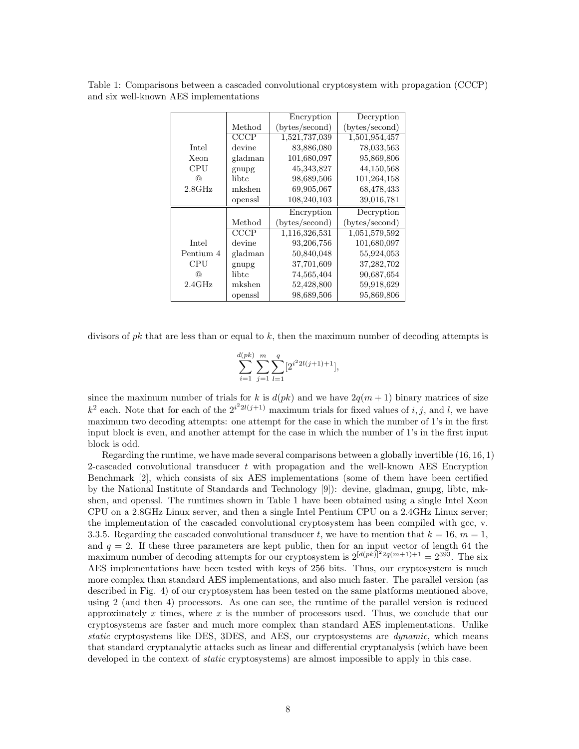|                 |         | Encryption     | Decryption     |
|-----------------|---------|----------------|----------------|
|                 | Method  | (bytes/second) | (bytes/second) |
|                 | CCCP    | 1,521,737,039  | 1,501,954,457  |
| Intel           | devine  | 83,886,080     | 78,033,563     |
| Xeon            | gladman | 101,680,097    | 95,869,806     |
| $\mathrm{CPU}$  | gnupg   | 45,343,827     | 44,150,568     |
| @               | libtc   | 98,689,506     | 101,264,158    |
| 2.8GHz          | mkshen  | 69,905,067     | 68,478,433     |
|                 | openssl | 108,240,103    | 39,016,781     |
|                 |         | Encryption     | Decryption     |
|                 | Method  | (bytes/second) | (bytes/second) |
|                 | CCCP    | 1,116,326,531  | 1,051,579,592  |
| Intel           | devine  | 93,206,756     | 101,680,097    |
| Pentium 4       | gladman | 50,840,048     | 55,924,053     |
| CPU             | gnupg   | 37,701,609     | 37,282,702     |
| @               | libtc   | 74,565,404     | 90,687,654     |
| $2.4\text{GHz}$ | mkshen  | 52,428,800     | 59,918,629     |
|                 | openssl | 98,689,506     | 95,869,806     |

Table 1: Comparisons between a cascaded convolutional cryptosystem with propagation (CCCP) and six well-known AES implementations

divisors of  $pk$  that are less than or equal to  $k$ , then the maximum number of decoding attempts is

$$
\sum_{i=1}^{d(pk)} \sum_{j=1}^{m} \sum_{l=1}^{q} [2^{i^2 2l(j+1)+1}],
$$

since the maximum number of trials for k is  $d(pk)$  and we have  $2q(m + 1)$  binary matrices of size  $k^2$  each. Note that for each of the  $2^{i^2 2l(j+1)}$  maximum trials for fixed values of i, j, and l, we have maximum two decoding attempts: one attempt for the case in which the number of 1's in the first input block is even, and another attempt for the case in which the number of 1's in the first input block is odd.

Regarding the runtime, we have made several comparisons between a globally invertible (16, 16, 1) 2-cascaded convolutional transducer t with propagation and the well-known AES Encryption Benchmark [2], which consists of six AES implementations (some of them have been certified by the National Institute of Standards and Technology [9]): devine, gladman, gnupg, libtc, mkshen, and openssl. The runtimes shown in Table 1 have been obtained using a single Intel Xeon CPU on a 2.8GHz Linux server, and then a single Intel Pentium CPU on a 2.4GHz Linux server; the implementation of the cascaded convolutional cryptosystem has been compiled with gcc, v. 3.3.5. Regarding the cascaded convolutional transducer t, we have to mention that  $k = 16$ ,  $m = 1$ , and  $q = 2$ . If these three parameters are kept public, then for an input vector of length 64 the maximum number of decoding attempts for our cryptosystem is  $2^{[d(pk)]^2}2q(m+1)+1=2^{393}$ . The six AES implementations have been tested with keys of 256 bits. Thus, our cryptosystem is much more complex than standard AES implementations, and also much faster. The parallel version (as described in Fig. 4) of our cryptosystem has been tested on the same platforms mentioned above, using 2 (and then 4) processors. As one can see, the runtime of the parallel version is reduced approximately  $x$  times, where  $x$  is the number of processors used. Thus, we conclude that our cryptosystems are faster and much more complex than standard AES implementations. Unlike static cryptosystems like DES, 3DES, and AES, our cryptosystems are dynamic, which means that standard cryptanalytic attacks such as linear and differential cryptanalysis (which have been developed in the context of *static* cryptosystems) are almost impossible to apply in this case.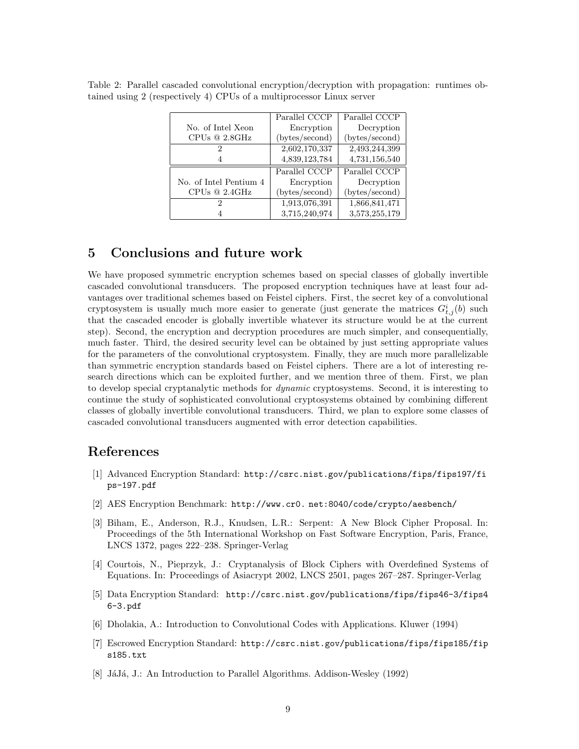|                        | Parallel CCCP  | Parallel CCCP  |
|------------------------|----------------|----------------|
| No. of Intel Xeon      | Encryption     | Decryption     |
| CPUs@2.8GHz            | (bytes/second) | (bytes/second) |
| 2                      | 2,602,170,337  | 2,493,244,399  |
| 4                      | 4,839,123,784  | 4,731,156,540  |
|                        | Parallel CCCP  | Parallel CCCP  |
| No. of Intel Pentium 4 | Encryption     | Decryption     |
| CPUs@2.4GHz            | (bytes/second) | (bytes/second) |
| 2                      | 1,913,076,391  | 1,866,841,471  |
| 4                      | 3,715,240,974  | 3,573,255,179  |

Table 2: Parallel cascaded convolutional encryption/decryption with propagation: runtimes obtained using 2 (respectively 4) CPUs of a multiprocessor Linux server

### 5 Conclusions and future work

We have proposed symmetric encryption schemes based on special classes of globally invertible cascaded convolutional transducers. The proposed encryption techniques have at least four advantages over traditional schemes based on Feistel ciphers. First, the secret key of a convolutional cryptosystem is usually much more easier to generate (just generate the matrices  $G_{t,j}^i(b)$  such that the cascaded encoder is globally invertible whatever its structure would be at the current step). Second, the encryption and decryption procedures are much simpler, and consequentially, much faster. Third, the desired security level can be obtained by just setting appropriate values for the parameters of the convolutional cryptosystem. Finally, they are much more parallelizable than symmetric encryption standards based on Feistel ciphers. There are a lot of interesting research directions which can be exploited further, and we mention three of them. First, we plan to develop special cryptanalytic methods for dynamic cryptosystems. Second, it is interesting to continue the study of sophisticated convolutional cryptosystems obtained by combining different classes of globally invertible convolutional transducers. Third, we plan to explore some classes of cascaded convolutional transducers augmented with error detection capabilities.

### References

- [1] Advanced Encryption Standard: http://csrc.nist.gov/publications/fips/fips197/fi ps-197.pdf
- [2] AES Encryption Benchmark: http://www.cr0. net:8040/code/crypto/aesbench/
- [3] Biham, E., Anderson, R.J., Knudsen, L.R.: Serpent: A New Block Cipher Proposal. In: Proceedings of the 5th International Workshop on Fast Software Encryption, Paris, France, LNCS 1372, pages 222–238. Springer-Verlag
- [4] Courtois, N., Pieprzyk, J.: Cryptanalysis of Block Ciphers with Overdefined Systems of Equations. In: Proceedings of Asiacrypt 2002, LNCS 2501, pages 267–287. Springer-Verlag
- [5] Data Encryption Standard: http://csrc.nist.gov/publications/fips/fips46-3/fips4 6-3.pdf
- [6] Dholakia, A.: Introduction to Convolutional Codes with Applications. Kluwer (1994)
- [7] Escrowed Encryption Standard: http://csrc.nist.gov/publications/fips/fips185/fip s185.txt
- [8] JáJá, J.: An Introduction to Parallel Algorithms. Addison-Wesley (1992)